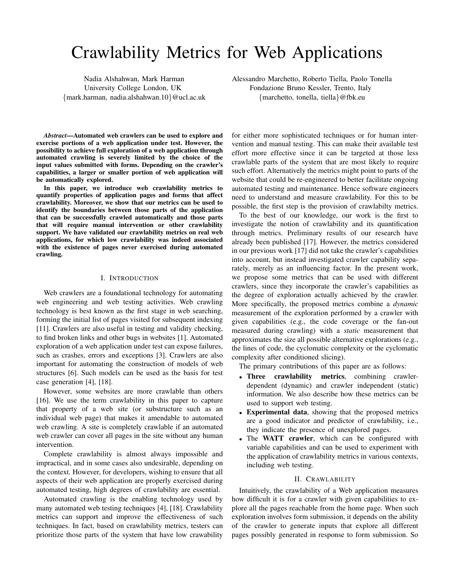# Crawlability Metrics for Web Applications

Nadia Alshahwan, Mark Harman University College London, UK {mark.harman, nadia.alshahwan.10}@ucl.ac.uk Alessandro Marchetto, Roberto Tiella, Paolo Tonella Fondazione Bruno Kessler, Trento, Italy {marchetto, tonella, tiella}@fbk.eu

*Abstract*—Automated web crawlers can be used to explore and exercise portions of a web application under test. However, the possibility to achieve full exploration of a web application through automated crawling is severely limited by the choice of the input values submitted with forms. Depending on the crawler's capabilities, a larger or smaller portion of web application will be automatically explored.

In this paper, we introduce web crawlability metrics to quantify properties of application pages and forms that affect crawlability. Moreover, we show that our metrics can be used to identify the boundaries between those parts of the application that can be successfully crawled automatically and those parts that will require manual intervention or other crawlability support. We have validated our crawlability metrics on real web applications, for which low crawlability was indeed associated with the existence of pages never exercised during automated crawling.

#### I. INTRODUCTION

Web crawlers are a foundational technology for automating web engineering and web testing activities. Web crawling technology is best known as the first stage in web searching, forming the initial list of pages visited for subsequent indexing [11]. Crawlers are also useful in testing and validity checking, to find broken links and other bugs in websites [1]. Automated exploration of a web application under test can expose failures, such as crashes, errors and exceptions [3]. Crawlers are also important for automating the construction of models of web structures [6]. Such models can be used as the basis for test case generation [4], [18].

However, some websites are more crawlable than others [16]. We use the term crawlability in this paper to capture that property of a web site (or substructure such as an individual web page) that makes it amendable to automated web crawling. A site is completely crawlable if an automated web crawler can cover all pages in the site without any human intervention.

Complete crawlability is almost always impossible and impractical, and in some cases also undesirable, depending on the context. However, for developers, wishing to ensure that all aspects of their web application are properly exercised during automated testing, high degrees of crawlability are essential.

Automated crawling is the enabling technology used by many automated web testing techniques [4], [18]. Crawlability metrics can support and improve the effectiveness of such techniques. In fact, based on crawlability metrics, testers can prioritize those parts of the system that have low crawability

for either more sophisticated techniques or for human intervention and manual testing. This can make their available test effort more effective since it can be targeted at those less crawlable parts of the system that are most likely to require such effort. Alternatively the metrics might point to parts of the website that could be re-engineered to better facilitate ongoing automated testing and maintenance. Hence software engineers need to understand and measure crawlability. For this to be possible, the first step is the provision of crawlabilty metrics.

To the best of our knowledge, our work is the first to investigate the notion of crawlability and its quantification through metrics. Preliminary results of our research have already been published [17]. However, the metrics considered in our previous work [17] did not take the crawler's capabilities into account, but instead investigated crawler capability separately, merely as an influencing factor. In the present work, we propose some metrics that can be used with different crawlers, since they incorporate the crawler's capabilities as the degree of exploration actually achieved by the crawler. More specifically, the proposed metrics combine a *dynamic* measurement of the exploration performed by a crawler with given capabilities (e.g., the code coverage or the fan-out measured during crawling) with a *static* measurement that approximates the size all possible alternative explorations (e.g., the lines of code, the cyclomatic complexity or the cyclomatic complexity after conditioned slicing).

The primary contributions of this paper are as follows:

- Three crawlability metrics, combining crawlerdependent (dynamic) and crawler independent (static) information. We also describe how these metrics can be used to support web testing.
- Experimental data, showing that the proposed metrics are a good indicator and predictor of crawlability, i.e., they indicate the presence of unexplored pages.
- The WATT crawler, which can be configured with variable capabilities and can be used to experiment with the application of crawlability metrics in various contexts, including web testing.

#### II. CRAWLABILITY

Intuitively, the crawlability of a Web application measures how difficult it is for a crawler with given capabilities to explore all the pages reachable from the home page. When such exploration involves form submission, it depends on the ability of the crawler to generate inputs that explore all different pages possibly generated in response to form submission. So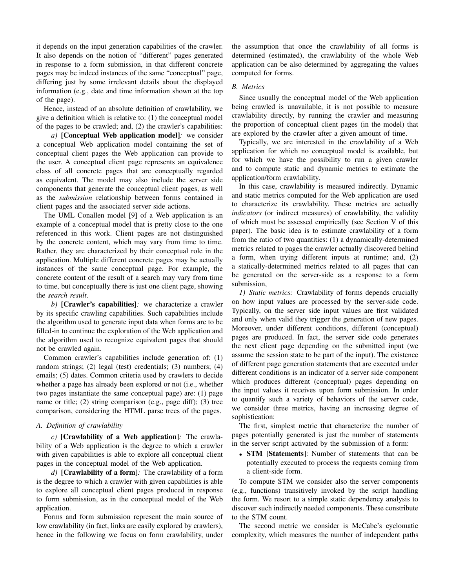it depends on the input generation capabilities of the crawler. It also depends on the notion of "different" pages generated in response to a form submission, in that different concrete pages may be indeed instances of the same "conceptual" page, differing just by some irrelevant details about the displayed information (e.g., date and time information shown at the top of the page).

Hence, instead of an absolute definition of crawlability, we give a definition which is relative to: (1) the conceptual model of the pages to be crawled; and, (2) the crawler's capabilities:

*a)* [Conceptual Web application model]*:* we consider a conceptual Web application model containing the set of conceptual client pages the Web application can provide to the user. A conceptual client page represents an equivalence class of all concrete pages that are conceptually regarded as equivalent. The model may also include the server side components that generate the conceptual client pages, as well as the *submission* relationship between forms contained in client pages and the associated server side actions.

The UML Conallen model [9] of a Web application is an example of a conceptual model that is pretty close to the one referenced in this work. Client pages are not distinguished by the concrete content, which may vary from time to time. Rather, they are characterized by their conceptual role in the application. Multiple different concrete pages may be actually instances of the same conceptual page. For example, the concrete content of the result of a search may vary from time to time, but conceptually there is just one client page, showing the *search result*.

*b)* [Crawler's capabilities]*:* we characterize a crawler by its specific crawling capabilities. Such capabilities include the algorithm used to generate input data when forms are to be filled-in to continue the exploration of the Web application and the algorithm used to recognize equivalent pages that should not be crawled again.

Common crawler's capabilities include generation of: (1) random strings; (2) legal (test) credentials; (3) numbers; (4) emails; (5) dates. Common criteria used by crawlers to decide whether a page has already been explored or not (i.e., whether two pages instantiate the same conceptual page) are: (1) page name or title; (2) string comparison (e.g., page diff); (3) tree comparison, considering the HTML parse trees of the pages.

# *A. Definition of crawlability*

*c)* [Crawlability of a Web application]*:* The crawlability of a Web application is the degree to which a crawler with given capabilities is able to explore all conceptual client pages in the conceptual model of the Web application.

*d)* [Crawlability of a form]*:* The crawlability of a form is the degree to which a crawler with given capabilities is able to explore all conceptual client pages produced in response to form submission, as in the conceptual model of the Web application.

Forms and form submission represent the main source of low crawlability (in fact, links are easily explored by crawlers), hence in the following we focus on form crawlability, under the assumption that once the crawlability of all forms is determined (estimated), the crawlability of the whole Web application can be also determined by aggregating the values computed for forms.

# *B. Metrics*

Since usually the conceptual model of the Web application being crawled is unavailable, it is not possible to measure crawlability directly, by running the crawler and measuring the proportion of conceptual client pages (in the model) that are explored by the crawler after a given amount of time.

Typically, we are interested in the crawlability of a Web application for which no conceptual model is available, but for which we have the possibility to run a given crawler and to compute static and dynamic metrics to estimate the application/form crawlability.

In this case, crawlability is measured indirectly. Dynamic and static metrics computed for the Web application are used to characterize its crawlability. These metrics are actually *indicators* (or indirect measures) of crawlability, the validity of which must be assessed empirically (see Section V of this paper). The basic idea is to estimate crawlability of a form from the ratio of two quantities: (1) a dynamically-determined metrics related to pages the crawler actually discovered behind a form, when trying different inputs at runtime; and, (2) a statically-determined metrics related to all pages that can be generated on the server-side as a response to a form submission,

*1) Static metrics:* Crawlability of forms depends crucially on how input values are processed by the server-side code. Typically, on the server side input values are first validated and only when valid they trigger the generation of new pages. Moreover, under different conditions, different (conceptual) pages are produced. In fact, the server side code generates the next client page depending on the submitted input (we assume the session state to be part of the input). The existence of different page generation statements that are executed under different conditions is an indicator of a server side component which produces different (conceptual) pages depending on the input values it receives upon form submission. In order to quantify such a variety of behaviors of the server code, we consider three metrics, having an increasing degree of sophistication:

The first, simplest metric that characterize the number of pages potentially generated is just the number of statements in the server script activated by the submission of a form:

• STM [Statements]: Number of statements that can be potentially executed to process the requests coming from a client-side form.

To compute STM we consider also the server components (e.g., functions) transitively invoked by the script handling the form. We resort to a simple static dependency analysis to discover such indirectly needed components. These constribute to the STM count.

The second metric we consider is McCabe's cyclomatic complexity, which measures the number of independent paths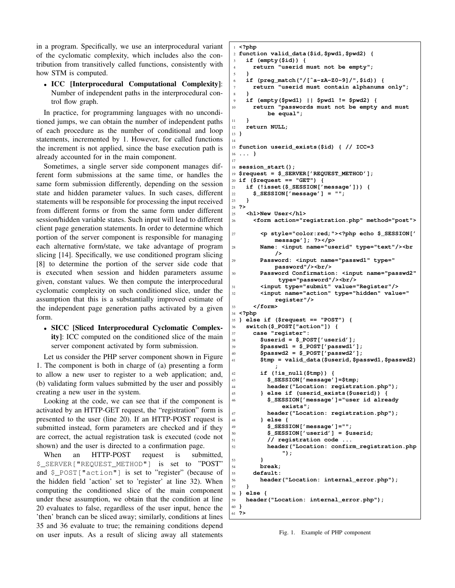in a program. Specifically, we use an interprocedural variant of the cyclomatic complexity, which includes also the contribution from transitively called functions, consistently with how STM is computed.

• ICC [Interprocedural Computational Complexity]: Number of independent paths in the interprocedural control flow graph.

In practice, for programming languages with no unconditioned jumps, we can obtain the number of independent paths of each procedure as the number of conditional and loop statements, incremented by 1. However, for called functions the increment is not applied, since the base execution path is already accounted for in the main component.

Sometimes, a single server side component manages different form submissions at the same time, or handles the same form submission differently, depending on the session state and hidden parameter values. In such cases, different statements will be responsible for processing the input received from different forms or from the same form under different session/hidden variable states. Such input will lead to different client page generation statements. In order to determine which portion of the server component is responsible for managing each alternative form/state, we take advantage of program slicing [14]. Specifically, we use conditioned program slicing [8] to determine the portion of the server side code that is executed when session and hidden parameters assume given, constant values. We then compute the interprocedural cyclomatic complexity on such conditioned slice, under the assumption that this is a substantially improved estimate of the independent page generation paths activated by a given form.

• SICC [Sliced Interprocedural Cyclomatic Complexity]: ICC computed on the conditioned slice of the main server component activated by form submission.

Let us consider the PHP server component shown in Figure 1. The component is both in charge of (a) presenting a form to allow a new user to register to a web application; and, (b) validating form values submitted by the user and possibly creating a new user in the system.

Looking at the code, we can see that if the component is activated by an HTTP-GET request, the "registration" form is presented to the user (line 20). If an HTTP-POST request is submitted instead, form parameters are checked and if they are correct, the actual registration task is executed (code not shown) and the user is directed to a confirmation page.

When an HTTP-POST request is submitted, \$\_SERVER["REQUEST\_METHOD"] is set to "POST" and \$\_POST["action"] is set to "register" (because of the hidden field 'action' set to 'register' at line 32). When computing the conditioned slice of the main component under these assumption, we obtain that the condition at line 20 evaluates to false, regardless of the user input, hence the 'then' branch can be sliced away; similarly, conditions at lines 35 and 36 evaluate to true; the remaining conditions depend on user inputs. As a result of slicing away all statements

```
1 <?php
2 function valid_data($id,$pwd1,$pwd2) {
3 if (empty($id)) {
4 return "userid must not be empty";
5 }
6 if (preg_match("/[ˆa-zA-Z0-9]/",$id)) {
7 return "userid must contain alphanums only";
8 }
9 if (empty($pwd1) || $pwd1 != $pwd2) {
10 return "passwords must not be empty and must
         be equal";
11 }
12 return NULL;
13 }
14
15 function userid_exists($id) { // ICC=3
16 ... }
17
18 session_start();
19 $request = $_SERVER['REQUEST_METHOD'];
20 if ($request == "GET") {
21 if (!isset($_SESSION['message'])) {
22 $_SESSION['message'] = "";
23 }
24 ?>
25 <h1>New User</h1>
26 <form action="registration.php" method="post">
27 <p style="color:red;"><?php echo $_SESSION['
           message']; ?></p>
28 Name: <input name="userid" type="text"/><br
          />
29 Password: <input name="passwd1" type="
           password"/><br/>
30 Password Confirmation: <input name="passwd2"
            type="password"/><br/>
31 <input type="submit" value="Register"/>
32 <input name="action" type="hidden" value="
           register"/>
33 </form>
34 <?php
35 } else if ($request == "POST") {
36 switch($_POST["action"]) {
37 case "register":
38 $userid = $_POST['userid'];
39 $passwd1 = $_POST['passwd1'];
40 $passwd2 = $_POST['passwd2'];
41 $tmp = valid_data($userid,$passwd1,$passwd2)
           ;
42 if (!is_null($tmp)) {
43 $_SESSION['message']=$tmp;
44 header("Location: registration.php");
45 } else if (userid_exists($userid)) {
46 $_SESSION['message']="user id already
             exists";
47 header("Location: registration.php");
48 } else {
49 $_SESSION['message']="";
50 $_SESSION['userid'] = $userid;
51 // registration code ...
52 header("Location: confirm_registration.php
             ");
53 }
54 break;
55 default:
56 header("Location: internal_error.php");
57 }
58 } else {
59 header("Location: internal_error.php");
60 }
61 ?>
```
Fig. 1. Example of PHP component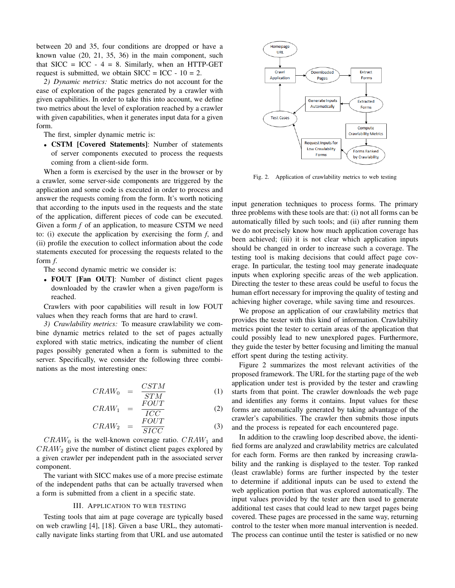between 20 and 35, four conditions are dropped or have a known value (20, 21, 35, 36) in the main component, such that  $SICC = ICC - 4 = 8$ . Similarly, when an HTTP-GET request is submitted, we obtain  $SICC = ICC - 10 = 2$ .

*2) Dynamic metrics:* Static metrics do not account for the ease of exploration of the pages generated by a crawler with given capabilities. In order to take this into account, we define two metrics about the level of exploration reached by a crawler with given capabilities, when it generates input data for a given form.

The first, simpler dynamic metric is:

• CSTM [Covered Statements]: Number of statements of server components executed to process the requests coming from a client-side form.

When a form is exercised by the user in the browser or by a crawler, some server-side components are triggered by the application and some code is executed in order to process and answer the requests coming from the form. It's worth noticing that according to the inputs used in the requests and the state of the application, different pieces of code can be executed. Given a form *f* of an application, to measure CSTM we need to: (i) execute the application by exercising the form *f*, and (ii) profile the execution to collect information about the code statements executed for processing the requests related to the form *f*.

The second dynamic metric we consider is:

• FOUT [Fan OUT]: Number of distinct client pages downloaded by the crawler when a given page/form is reached.

Crawlers with poor capabilities will result in low FOUT values when they reach forms that are hard to crawl.

*3) Crawlability metrics:* To measure crawlability we combine dynamic metrics related to the set of pages actually explored with static metrics, indicating the number of client pages possibly generated when a form is submitted to the server. Specifically, we consider the following three combinations as the most interesting ones:

$$
CRAW_0 = \frac{CSTM}{STM} \tag{1}
$$

$$
CRAW_1 = \frac{FOUT}{ICC} \tag{2}
$$

$$
CRAW_2 = \frac{FOUT}{SICC} \tag{3}
$$

 $CRAW_0$  is the well-known coverage ratio.  $CRAW_1$  and  $CRAW_2$  give the number of distinct client pages explored by a given crawler per independent path in the associated server component.

The variant with SICC makes use of a more precise estimate of the independent paths that can be actually traversed when a form is submitted from a client in a specific state.

#### III. APPLICATION TO WEB TESTING

Testing tools that aim at page coverage are typically based on web crawling [4], [18]. Given a base URL, they automatically navigate links starting from that URL and use automated



Fig. 2. Application of crawlability metrics to web testing

input generation techniques to process forms. The primary three problems with these tools are that: (i) not all forms can be automatically filled by such tools; and (ii) after running them we do not precisely know how much application coverage has been achieved; (iii) it is not clear which application inputs should be changed in order to increase such a coverage. The testing tool is making decisions that could affect page coverage. In particular, the testing tool may generate inadequate inputs when exploring specific areas of the web application. Directing the tester to these areas could be useful to focus the human effort necessary for improving the quality of testing and achieving higher coverage, while saving time and resources.

We propose an application of our crawlability metrics that provides the tester with this kind of information. Crawlability metrics point the tester to certain areas of the application that could possibly lead to new unexplored pages. Furthermore, they guide the tester by better focusing and limiting the manual effort spent during the testing activity.

Figure 2 summarizes the most relevant activities of the proposed framework. The URL for the starting page of the web application under test is provided by the tester and crawling starts from that point. The crawler downloads the web page and identifies any forms it contains. Input values for these forms are automatically generated by taking advantage of the crawler's capabilities. The crawler then submits those inputs and the process is repeated for each encountered page.

In addition to the crawling loop described above, the identified forms are analyzed and crawlability metrics are calculated for each form. Forms are then ranked by increasing crawlability and the ranking is displayed to the tester. Top ranked (least crawlable) forms are further inspected by the tester to determine if additional inputs can be used to extend the web application portion that was explored automatically. The input values provided by the tester are then used to generate additional test cases that could lead to new target pages being covered. These pages are processed in the same way, returning control to the tester when more manual intervention is needed. The process can continue until the tester is satisfied or no new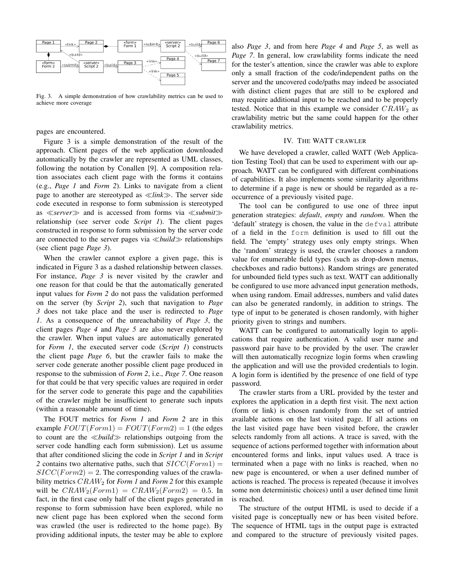

Fig. 3. A simple demonstration of how crawlability metrics can be used to achieve more coverage

pages are encountered.

Figure 3 is a simple demonstration of the result of the approach. Client pages of the web application downloaded automatically by the crawler are represented as UML classes, following the notation by Conallen [9]. A composition relation associates each client page with the forms it contains (e.g., *Page 1* and *Form 2*). Links to navigate from a client page to another are stereotyped as  $\ll$ *link* $\gg$ . The server side code executed in response to form submission is stereotyped as  $\ll$ server $\gg$  and is accessed from forms via  $\ll$ submit $\gg$ relationship (see server code *Script 1*). The client pages constructed in response to form submission by the server code are connected to the server pages via  $\ll$  *build*  $\gg$  relationships (see client page *Page 3*).

When the crawler cannot explore a given page, this is indicated in Figure 3 as a dashed relationship between classes. For instance, *Page 3* is never visited by the crawler and one reason for that could be that the automatically generated input values for *Form 2* do not pass the validation performed on the server (by *Script 2*), such that navigation to *Page 3* does not take place and the user is redirected to *Page 1*. As a consequence of the unreachability of *Page 3*, the client pages *Page 4* and *Page 5* are also never explored by the crawler. When input values are automatically generated for *Form 1*, the executed server code (*Script 1*) constructs the client page *Page 6*, but the crawler fails to make the server code generate another possible client page produced in response to the submission of *Form 2*, i.e., *Page 7*. One reason for that could be that very specific values are required in order for the server code to generate this page and the capabilities of the crawler might be insufficient to generate such inputs (within a reasonable amount of time).

The FOUT metrics for *Form 1* and *Form 2* are in this example  $FOUT(Form1) = FOUT(Form2) = 1$  (the edges to count are the  $\ll$ *build* relationships outgoing from the server code handling each form submission). Let us assume that after conditioned slicing the code in *Script 1* and in *Script* 2 contains two alternative paths, such that  $SICC(Form1) =$  $SICC(Form2) = 2$ . The corresponding values of the crawlability metrics CRAW<sup>2</sup> for *Form 1* and *Form 2* for this example will be  $CRAW_2(Form1) = CRAW_2(Form2) = 0.5$ . In fact, in the first case only half of the client pages generated in response to form submission have been explored, while no new client page has been explored when the second form was crawled (the user is redirected to the home page). By providing additional inputs, the tester may be able to explore also *Page 3*, and from here *Page 4* and *Page 5*, as well as *Page 7*. In general, low crawlability forms indicate the need for the tester's attention, since the crawler was able to explore only a small fraction of the code/independent paths on the server and the uncovered code/paths may indeed be associated with distinct client pages that are still to be explored and may require additional input to be reached and to be properly tested. Notice that in this example we consider  $CRAW_2$  as crawlability metric but the same could happen for the other crawlability metrics.

## IV. THE WATT CRAWLER

We have developed a crawler, called WATT (Web Application Testing Tool) that can be used to experiment with our approach. WATT can be configured with different combinations of capabilities. It also implements some similarity algorithms to determine if a page is new or should be regarded as a reoccurrence of a previously visited page.

The tool can be configured to use one of three input generation strategies: *default*, *empty* and *random*. When the 'default' strategy is chosen, the value in the defval attribute of a field in the form definition is used to fill out the field. The 'empty' strategy uses only empty strings. When the 'random' strategy is used, the crawler chooses a random value for enumerable field types (such as drop-down menus, checkboxes and radio buttons). Random strings are generated for unbounded field types such as text. WATT can additionally be configured to use more advanced input generation methods, when using random. Email addresses, numbers and valid dates can also be generated randomly, in addition to strings. The type of input to be generated is chosen randomly, with higher priority given to strings and numbers.

WATT can be configured to automatically login to applications that require authentication. A valid user name and password pair have to be provided by the user. The crawler will then automatically recognize login forms when crawling the application and will use the provided credentials to login. A login form is identified by the presence of one field of type password.

The crawler starts from a URL provided by the tester and explores the application in a depth first visit. The next action (form or link) is chosen randomly from the set of untried available actions on the last visited page. If all actions on the last visited page have been visited before, the crawler selects randomly from all actions. A trace is saved, with the sequence of actions performed together with information about encountered forms and links, input values used. A trace is terminated when a page with no links is reached, when no new page is encountered, or when a user defined number of actions is reached. The process is repeated (because it involves some non deterministic choices) until a user defined time limit is reached.

The structure of the output HTML is used to decide if a visited page is conceptually new or has been visited before. The sequence of HTML tags in the output page is extracted and compared to the structure of previously visited pages.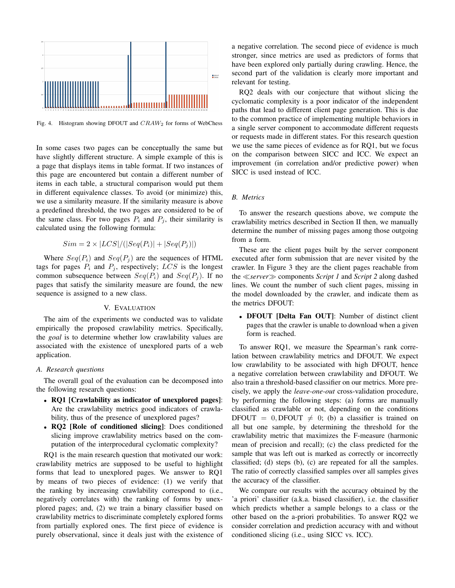

Fig. 4. Histogram showing DFOUT and  $CRAW_2$  for forms of WebChess

In some cases two pages can be conceptually the same but have slightly different structure. A simple example of this is a page that displays items in table format. If two instances of this page are encountered but contain a different number of items in each table, a structural comparison would put them in different equivalence classes. To avoid (or minimize) this, we use a similarity measure. If the similarity measure is above a predefined threshold, the two pages are considered to be of the same class. For two pages  $P_i$  and  $P_j$ , their similarity is calculated using the following formula:

$$
Sim = 2 \times |LCS|/(|Seq(P_i)| + |Seq(P_j)|)
$$

Where  $Seq(P_i)$  and  $Seq(P_j)$  are the sequences of HTML tags for pages  $P_i$  and  $P_j$ , respectively; LCS is the longest common subsequence between  $Seq(P_i)$  and  $Seq(P_i)$ . If no pages that satisfy the similarity measure are found, the new sequence is assigned to a new class.

#### V. EVALUATION

The aim of the experiments we conducted was to validate empirically the proposed crawlability metrics. Specifically, the *goal* is to determine whether low crawlability values are associated with the existence of unexplored parts of a web application.

#### *A. Research questions*

The overall goal of the evaluation can be decomposed into the following research questions:

- RQ1 [Crawlability as indicator of unexplored pages]: Are the crawlability metrics good indicators of crawlability, thus of the presence of unexplored pages?
- RQ2 [Role of conditioned slicing]: Does conditioned slicing improve crawlability metrics based on the computation of the interprocedural cyclomatic complexity?

RQ1 is the main research question that motivated our work: crawlability metrics are supposed to be useful to highlight forms that lead to unexplored pages. We answer to RQ1 by means of two pieces of evidence: (1) we verify that the ranking by increasing crawlability correspond to (i.e., negatively correlates with) the ranking of forms by unexplored pages; and, (2) we train a binary classifier based on crawlability metrics to discriminate completely explored forms from partially explored ones. The first piece of evidence is purely observational, since it deals just with the existence of a negative correlation. The second piece of evidence is much stronger, since metrics are used as predictors of forms that have been explored only partially during crawling. Hence, the second part of the validation is clearly more important and relevant for testing.

RQ2 deals with our conjecture that without slicing the cyclomatic complexity is a poor indicator of the independent paths that lead to different client page generation. This is due to the common practice of implementing multiple behaviors in a single server component to accommodate different requests or requests made in different states. For this research question we use the same pieces of evidence as for RQ1, but we focus on the comparison between SICC and ICC. We expect an improvement (in correlation and/or predictive power) when SICC is used instead of ICC.

#### *B. Metrics*

To answer the research questions above, we compute the crawlability metrics described in Section II then, we manually determine the number of missing pages among those outgoing from a form.

These are the client pages built by the server component executed after form submission that are never visited by the crawler. In Figure 3 they are the client pages reachable from the *«server*» components *Script 1* and *Script 2* along dashed lines. We count the number of such client pages, missing in the model downloaded by the crawler, and indicate them as the metrics DFOUT:

• DFOUT [Delta Fan OUT]: Number of distinct client pages that the crawler is unable to download when a given form is reached.

To answer RQ1, we measure the Spearman's rank correlation between crawlability metrics and DFOUT. We expect low crawlability to be associated with high DFOUT, hence a negative correlation between crawlability and DFOUT. We also train a threshold-based classifier on our metrics. More precisely, we apply the *leave-one-out* cross-validation procedure, by performing the following steps: (a) forms are manually classified as crawlable or not, depending on the conditions DFOUT = 0, DFOUT  $\neq$  0; (b) a classifier is trained on all but one sample, by determining the threshold for the crawlability metric that maximizes the F-measure (harmonic mean of precision and recall); (c) the class predicted for the sample that was left out is marked as correctly or incorrectly classified; (d) steps (b), (c) are repeated for all the samples. The ratio of correctly classified samples over all samples gives the accuracy of the classifier.

We compare our results with the accuracy obtained by the 'a priori' classifier (a.k.a. biased classifier), i.e. the classifier which predicts whether a sample belongs to a class or the other based on the a-priori probabilities. To answer RQ2 we consider correlation and prediction accuracy with and without conditioned slicing (i.e., using SICC vs. ICC).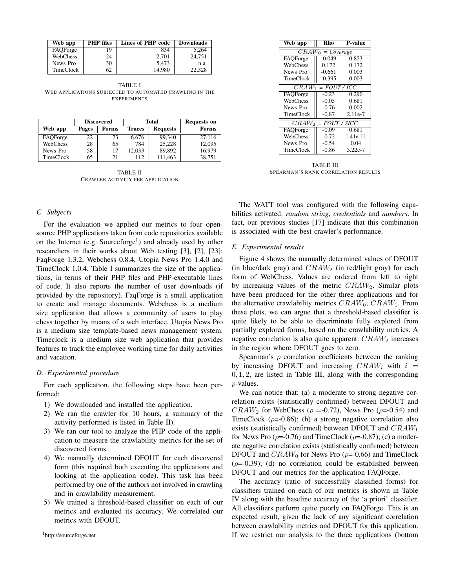| Web app   | <b>PHP</b> files | Lines of PHP code | <b>Downloads</b> |
|-----------|------------------|-------------------|------------------|
| FAOForge  | 19               | 834               | 5.264            |
| WebChess  | 24               | 2.701             | 24.751           |
| News Pro  | 30               | 5.473             | n.a.             |
| TimeClock | 62               | 14.980            | 22.328           |

TABLE I WEB APPLICATIONS SUBJECTED TO AUTOMATED CRAWLING IN THE EXPERIMENTS

|           | <b>Discovered</b> |       | <b>Total</b>  |                 | <b>Requests on</b> |
|-----------|-------------------|-------|---------------|-----------------|--------------------|
| Web app   | <b>Pages</b>      | Forms | <b>Traces</b> | <b>Requests</b> | Forms              |
| FAOForge  | 22                | 23    | 6.676         | 99.340          | 27.116             |
| WebChess  | 28                | 65    | 784           | 25,228          | 12,095             |
| News Pro  | 58                | 17    | 12.033        | 89,892          | 16,979             |
| TimeClock | 65                | 21    | 112           | 111.463         | 38.751             |

| TABLE II                                |  |  |  |  |
|-----------------------------------------|--|--|--|--|
| <b>CRAWLER ACTIVITY PER APPLICATION</b> |  |  |  |  |

# *C. Subjects*

For the evaluation we applied our metrics to four opensource PHP applications taken from code repositories available on the Internet (e.g. Sourceforge<sup>1</sup>) and already used by other researchers in their works about Web testing [3], [2], [23]: FaqForge 1.3.2, Webchess 0.8.4, Utopia News Pro 1.4.0 and TimeClock 1.0.4. Table I summarizes the size of the applications, in terms of their PHP files and PHP-executable lines of code. It also reports the number of user downloads (if provided by the repository). FaqForge is a small application to create and manage documents. Webchess is a medium size application that allows a community of users to play chess together by means of a web interface. Utopia News Pro is a medium size template-based news management system. Timeclock is a medium size web application that provides features to track the employee working time for daily activities and vacation.

### *D. Experimental procedure*

For each application, the following steps have been performed:

- 1) We downloaded and installed the application.
- 2) We ran the crawler for 10 hours, a summary of the activity performed is listed in Table II).
- 3) We ran our tool to analyze the PHP code of the application to measure the crawlability metrics for the set of discovered forms.
- 4) We manually determined DFOUT for each discovered form (this required both executing the applications and looking at the application code). This task has been performed by one of the authors not involved in crawling and in crawlability measurement.
- 5) We trained a threshold-based classifier on each of our metrics and evaluated its accuracy. We correlated our metrics with DFOUT.

<sup>1</sup>http://sourceforge.net

| Web app                | Rho      | <b>P-value</b> |  |  |
|------------------------|----------|----------------|--|--|
| $CRAW_0 = Coverage$    |          |                |  |  |
| FAQForge               | $-0.049$ | 0.823          |  |  |
| <b>WebChess</b>        | 0.172    | 0.172          |  |  |
| News Pro               | $-0.661$ | 0.003          |  |  |
| <b>TimeClock</b>       | $-0.395$ | 0.003          |  |  |
| $CRAW_1 = FOUT/ICC$    |          |                |  |  |
| FAOForge               | $-0.23$  | 0.290          |  |  |
| <b>WebChess</b>        | $-0.05$  | 0.681          |  |  |
| News Pro               | $-0.76$  | 0.002          |  |  |
| TimeClock              | $-0.87$  | $2.11e-7$      |  |  |
| $CRAW_2 = FOUT / SICC$ |          |                |  |  |
| FAQForge               | $-0.09$  | 0.681          |  |  |
| <b>WebChess</b>        | $-0.72$  | 1.41e-11       |  |  |
| News Pro               | $-0.54$  | 0.04           |  |  |
| TimeClock              | $-0.86$  | 5.22e-7        |  |  |

TABLE III SPEARMAN'S RANK CORRELATION RESULTS

The WATT tool was configured with the following capabilities activated: *random string*, *credentials* and *numbers*. In fact, our previous studies [17] indicate that this combination is associated with the best crawler's performance.

#### *E. Experimental results*

Figure 4 shows the manually determined values of DFOUT (in blue/dark gray) and  $CRAW_2$  (in red/light gray) for each form of WebChess. Values are ordered from left to right by increasing values of the metric  $CRAW_2$ . Similar plots have been produced for the other three applications and for the alternative crawlability metrics  $CRAW_0$ ,  $CRAW_1$ . From these plots, we can argue that a threshold-based classifier is quite likely to be able to discriminate fully explored from partially explored forms, based on the crawlability metrics. A negative correlation is also quite apparent:  $CRAW_2$  increases in the region where DFOUT goes to zero.

Spearman's  $\rho$  correlation coefficients between the ranking by increasing DFOUT and increasing  $CRAW_i$  with  $i =$ 0, 1, 2, are listed in Table III, along with the corresponding p-values.

We can notice that: (a) a moderate to strong negative correlation exists (statistically confirmed) between DFOUT and  $CRAW_2$  for WebChess ( $\rho = -0.72$ ), News Pro ( $\rho = -0.54$ ) and TimeClock ( $\rho$ =-0.86); (b) a strong negative correlation also exists (statistically confirmed) between DFOUT and  $CRAW_1$ for News Pro ( $\rho$ =-0.76) and TimeClock ( $\rho$ =-0.87); (c) a moderate negative correlation exists (statistically confirmed) between DFOUT and  $CRAW_0$  for News Pro ( $\rho$ =-0.66) and TimeClock  $(\rho=-0.39)$ ; (d) no correlation could be established between DFOUT and our metrics for the application FAQForge.

The accuracy (ratio of successfully classified forms) for classifiers trained on each of our metrics is shown in Table IV along with the baseline accuracy of the 'a priori' classifier. All classifiers perform quite poorly on FAQForge. This is an expected result, given the lack of any significant correlation between crawlability metrics and DFOUT for this application. If we restrict our analysis to the three applications (bottom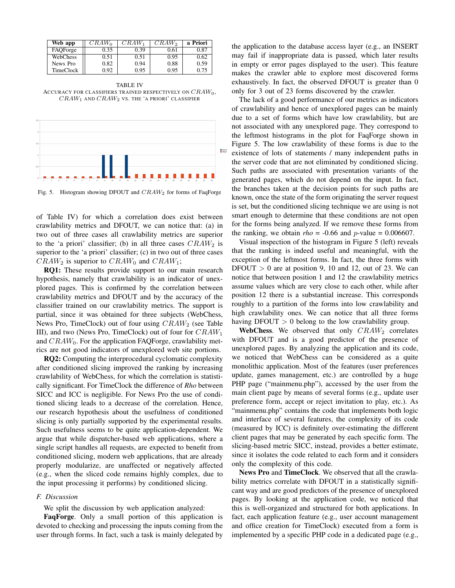| Web app   | $CRAW_0$ | $_{CRAW_1}$ | CRAW <sub>2</sub> | a Priori |
|-----------|----------|-------------|-------------------|----------|
| FAOForge  | 0.35     | 0.39        | 0.61              | 0.87     |
| WebChess  | 0.51     | 0.51        | 0.95              | 0.62     |
| News Pro  | 0.82     | 0.94        | 0.88              | 0.59     |
| TimeClock | 0.92     | 0.95        | 0.95              | 0.75     |

TABLE IV ACCURACY FOR CLASSIFIERS TRAINED RESPECTIVELY ON  $CRAW_0$ ,  $CRAW_1$  and  $CRAW_2$  vs. The 'A PRIORI' CLASSIFIER



Fig. 5. Histogram showing DFOUT and  $CRAW_2$  for forms of FaqForge

of Table IV) for which a correlation does exist between crawlability metrics and DFOUT, we can notice that: (a) in two out of three cases all crawlability metrics are superior to the 'a priori' classifier; (b) in all three cases  $CRAW_2$  is superior to the 'a priori' classifier; (c) in two out of three cases  $CRAW_2$  is superior to  $CRAW_0$  and  $CRAW_1$ ;

RQ1: These results provide support to our main research hypothesis, namely that crawlability is an indicator of unexplored pages. This is confirmed by the correlation between crawlability metrics and DFOUT and by the accuracy of the classifier trained on our crawlability metrics. The support is partial, since it was obtained for three subjects (WebChess, News Pro, TimeClock) out of four using  $CRAW_2$  (see Table III), and two (News Pro, TimeClock) out of four for  $CRAW_1$ and  $CRAW<sub>0</sub>$ . For the application FAQForge, crawlability metrics are not good indicators of unexplored web site portions.

RQ2: Computing the interprocedural cyclomatic complexity after conditioned slicing improved the ranking by increasing crawlability of WebChess, for which the correlation is statistically significant. For TimeClock the difference of *Rho* between SICC and ICC is negligible. For News Pro the use of conditioned slicing leads to a decrease of the correlation. Hence, our research hypothesis about the usefulness of conditioned slicing is only partially supported by the experimental results. Such usefulness seems to be quite application-dependent. We argue that while dispatcher-based web applications, where a single script handles all requests, are expected to benefit from conditioned slicing, modern web applications, that are already properly modularize, are unaffected or negatively affected (e.g., when the sliced code remains highly complex, due to the input processing it performs) by conditioned slicing.

#### *F. Discussion*

We split the discussion by web application analyzed:

FaqForge. Only a small portion of this application is devoted to checking and processing the inputs coming from the user through forms. In fact, such a task is mainly delegated by the application to the database access layer (e.g., an INSERT may fail if inappropriate data is passed, which later results in empty or error pages displayed to the user). This feature makes the crawler able to explore most discovered forms exhaustively. In fact, the observed DFOUT is greater than 0 only for 3 out of 23 forms discovered by the crawler.

The lack of a good performance of our metrics as indicators of crawlability and hence of unexplored pages can be mainly due to a set of forms which have low crawlability, but are not associated with any unexplored page. They correspond to the leftmost histograms in the plot for FaqForge shown in Figure 5. The low crawlability of these forms is due to the existence of lots of statements / many independent paths in the server code that are not eliminated by conditioned slicing. Such paths are associated with presentation variants of the generated pages, which do not depend on the input. In fact, the branches taken at the decision points for such paths are known, once the state of the form originating the server request is set, but the conditioned slicing technique we are using is not smart enough to determine that these conditions are not open for the forms being analyzed. If we remove these forms from the ranking, we obtain  $rho = -0.66$  and  $p$ -value = 0.006607.

Visual inspection of the histogram in Figure 5 (left) reveals that the ranking is indeed useful and meaningful, with the exception of the leftmost forms. In fact, the three forms with  $DFOUT > 0$  are at position 9, 10 and 12, out of 23. We can notice that between position 1 and 12 the crawlability metrics assume values which are very close to each other, while after position 12 there is a substantial increase. This corresponds roughly to a partition of the forms into low crawlability and high crawlability ones. We can notice that all three forms having DFOUT  $> 0$  belong to the low crawlability group.

WebChess. We observed that only  $CRAW_2$  correlates with DFOUT and is a good predictor of the presence of unexplored pages. By analyzing the application and its code, we noticed that WebChess can be considered as a quite monolithic application. Most of the features (user preferences update, games management, etc.) are controlled by a huge PHP page ("mainmenu.php"), accessed by the user from the main client page by means of several forms (e.g., update user preference form, accept or reject invitation to play, etc.). As "mainmenu.php" contains the code that implements both logic and interface of several features, the complexity of its code (measured by ICC) is definitely over-estimating the different client pages that may be generated by each specific form. The slicing-based metric SICC, instead, provides a better estimate, since it isolates the code related to each form and it considers only the complexity of this code.

News Pro and TimeClock. We observed that all the crawlability metrics correlate with DFOUT in a statistically significant way and are good predictors of the presence of unexplored pages. By looking at the application code, we noticed that this is well-organized and structured for both applications. In fact, each application feature (e.g., user account management and office creation for TimeClock) executed from a form is implemented by a specific PHP code in a dedicated page (e.g.,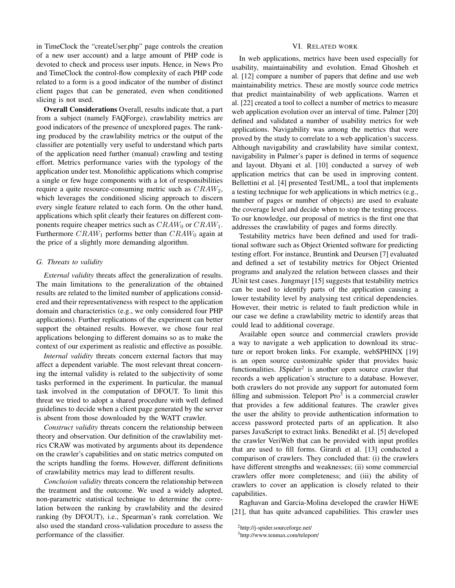in TimeClock the "createUser.php" page controls the creation of a new user account) and a large amount of PHP code is devoted to check and process user inputs. Hence, in News Pro and TimeClock the control-flow complexity of each PHP code related to a form is a good indicator of the number of distinct client pages that can be generated, even when conditioned slicing is not used.

Overall Considerations Overall, results indicate that, a part from a subject (namely FAQForge), crawlability metrics are good indicators of the presence of unexplored pages. The ranking produced by the crawlability metrics or the output of the classifier are potentially very useful to understand which parts of the application need further (manual) crawling and testing effort. Metrics performance varies with the typology of the application under test. Monolithic applications which comprise a single or few huge components with a lot of responsibilities require a quite resource-consuming metric such as  $CRAW_2$ , which leverages the conditioned slicing approach to discern every single feature related to each form. On the other hand, applications which split clearly their features on different components require cheaper metrics such as  $CRAW_0$  or  $CRAW_1$ . Furthermore  $CRAW_1$  performs better than  $CRAW_0$  again at the price of a slightly more demanding algorithm.

# *G. Threats to validity*

*External validity* threats affect the generalization of results. The main limitations to the generalization of the obtained results are related to the limited number of applications considered and their representativeness with respect to the application domain and characteristics (e.g., we only considered four PHP applications). Further replications of the experiment can better support the obtained results. However, we chose four real applications belonging to different domains so as to make the context of our experiment as realistic and effective as possible.

*Internal validity* threats concern external factors that may affect a dependent variable. The most relevant threat concerning the internal validity is related to the subjectivity of some tasks performed in the experiment. In particular, the manual task involved in the computation of DFOUT. To limit this threat we tried to adopt a shared procedure with well defined guidelines to decide when a client page generated by the server is absent from those downloaded by the WATT crawler.

*Construct validity* threats concern the relationship between theory and observation. Our definition of the crawlability metrics CRAW was motivated by arguments about its dependence on the crawler's capabilities and on static metrics computed on the scripts handling the forms. However, different definitions of crawlability metrics may lead to different results.

*Conclusion validity* threats concern the relationship between the treatment and the outcome. We used a widely adopted, non-parametric statistical technique to determine the correlation between the ranking by crawlability and the desired ranking (by DFOUT), i.e., Spearman's rank correlation. We also used the standard cross-validation procedure to assess the performance of the classifier.

#### VI. RELATED WORK

In web applications, metrics have been used especially for usability, maintainability and evolution. Emad Ghosheh et al. [12] compare a number of papers that define and use web maintainability metrics. These are mostly source code metrics that predict maintainability of web applications. Warren et al. [22] created a tool to collect a number of metrics to measure web application evolution over an interval of time. Palmer [20] defined and validated a number of usability metrics for web applications. Navigability was among the metrics that were proved by the study to correlate to a web application's success. Although navigability and crawlability have similar context, navigability in Palmer's paper is defined in terms of sequence and layout. Dhyani et al. [10] conducted a survey of web application metrics that can be used in improving content. Bellettini et al. [4] presented TestUML, a tool that implements a testing technique for web applications in which metrics (e.g., number of pages or number of objects) are used to evaluate the coverage level and decide when to stop the testing process. To our knowledge, our proposal of metrics is the first one that addresses the crawlability of pages and forms directly.

Testability metrics have been defined and used for traditional software such as Object Oriented software for predicting testing effort. For instance, Bruntink and Deursen [7] evaluated and defined a set of testability metrics for Object Oriented programs and analyzed the relation between classes and their JUnit test cases. Jungmayr [15] suggests that testability metrics can be used to identify parts of the application causing a lower testability level by analysing test critical dependencies. However, their metric is related to fault prediction while in our case we define a crawlability metric to identify areas that could lead to additional coverage.

Available open source and commercial crawlers provide a way to navigate a web application to download its structure or report broken links. For example, webSPHINX [19] is an open source customizable spider that provides basic functionalities. JSpider<sup>2</sup> is another open source crawler that records a web application's structure to a database. However, both crawlers do not provide any support for automated form filling and submission. Teleport  $Pro<sup>3</sup>$  is a commercial crawler that provides a few additional features. The crawler gives the user the ability to provide authentication information to access password protected parts of an application. It also parses JavaScript to extract links. Benedikt et al. [5] developed the crawler VeriWeb that can be provided with input profiles that are used to fill forms. Girardi et al. [13] conducted a comparison of crawlers. They concluded that: (i) the crawlers have different strengths and weaknesses; (ii) some commercial crawlers offer more completeness; and (iii) the ability of crawlers to cover an application is closely related to their capabilities.

Raghavan and Garcia-Molina developed the crawler HiWE [21], that has quite advanced capabilities. This crawler uses

<sup>2</sup>http://j-spider.sourceforge.net/

<sup>3</sup>http://www.tenmax.com/teleport/